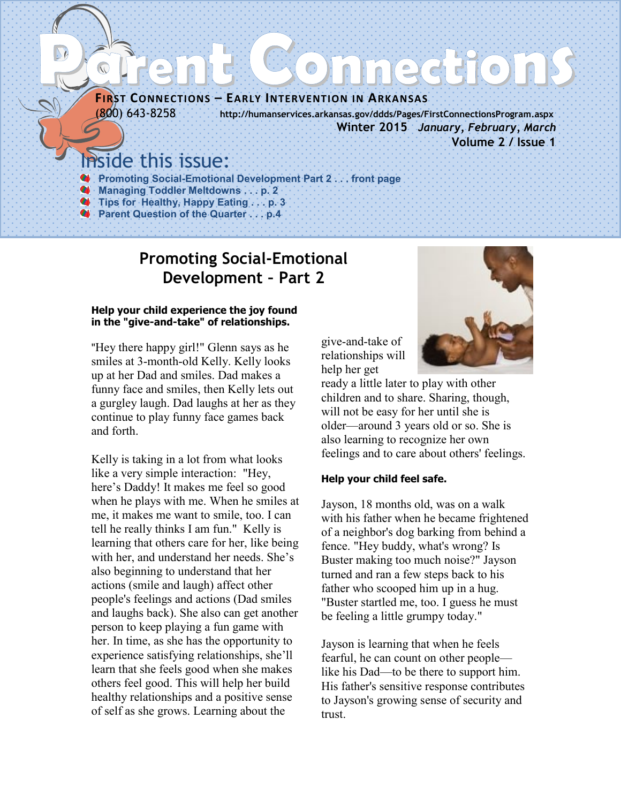

## **Promoting Social-Emotional Development – Part 2**

#### **Help your child experience the joy found in the "give-and-take" of relationships.**

"Hey there happy girl!" Glenn says as he smiles at 3-month-old Kelly. Kelly looks up at her Dad and smiles. Dad makes a funny face and smiles, then Kelly lets out a gurgley laugh. Dad laughs at her as they continue to play funny face games back and forth.

Kelly is taking in a lot from what looks like a very simple interaction: "Hey, here's Daddy! It makes me feel so good when he plays with me. When he smiles at me, it makes me want to smile, too. I can tell he really thinks I am fun." Kelly is learning that others care for her, like being with her, and understand her needs. She's also beginning to understand that her actions (smile and laugh) affect other people's feelings and actions (Dad smiles and laughs back). She also can get another person to keep playing a fun game with her. In time, as she has the opportunity to experience satisfying relationships, she'll learn that she feels good when she makes others feel good. This will help her build healthy relationships and a positive sense of self as she grows. Learning about the

give-and-take of relationships will help her get



ready a little later to play with other children and to share. Sharing, though, will not be easy for her until she is older—around 3 years old or so. She is also learning to recognize her own feelings and to care about others' feelings.

#### **Help your child feel safe.**

Jayson, 18 months old, was on a walk with his father when he became frightened of a neighbor's dog barking from behind a fence. "Hey buddy, what's wrong? Is Buster making too much noise?" Jayson turned and ran a few steps back to his father who scooped him up in a hug. "Buster startled me, too. I guess he must be feeling a little grumpy today."

Jayson is learning that when he feels fearful, he can count on other people like his Dad—to be there to support him. His father's sensitive response contributes to Jayson's growing sense of security and trust.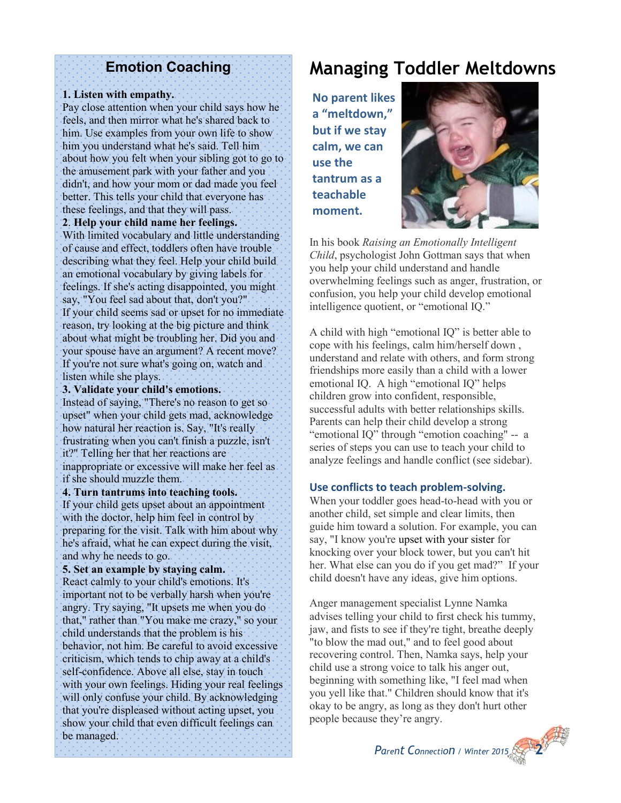### **Emotion Coaching**

#### **1. Listen with empathy.**

Pay close attention when your child says how he feels, and then mirror what he's shared back to him. Use examples from your own life to show him you understand what he's said. Tell him about how you felt when your sibling got to go to the amusement park with your father and you didn't, and how your mom or dad made you feel better. This tells your child that everyone has these feelings, and that they will pass.

#### **2**. **Help your child name her feelings.**

With limited vocabulary and little understanding of cause and effect, toddlers often have trouble describing what they feel. Help your child [build](http://www.babycenter.com/404_how-can-i-help-my-toddler-put-his-thoughts-together-into-sen_12269.bc)  [an emotional vocabulary](http://www.babycenter.com/404_how-can-i-help-my-toddler-put-his-thoughts-together-into-sen_12269.bc) by giving labels for feelings. If she's acting disappointed, you might say, "You feel sad about that, don't you?" If your child seems sad or upset for no immediate reason, try looking at the big picture and think about what might be troubling her. Did you and your spouse have an argument? A recent move? If you're not sure what's going on, watch and listen while she plays.

#### **3. Validate your child's emotions.**

Instead of saying, "There's no reason to get so upset" when your child gets mad, acknowledge how natural her reaction is. Say, "It's really frustrating when you can't finish a puzzle, isn't it?" Telling her that her reactions are inappropriate or excessive will make her feel as if she should muzzle them.

#### **4. Turn tantrums into teaching tools.**

If your child gets upset about an appointment with the doctor, help him feel in control by preparing for the visit. Talk with him about why he's afraid, what he can expect during the visit, and why he needs to go.

#### **5. Set an example by staying calm.**

React calmly to your child's emotions. It's important not to be verbally harsh when you're angry. Try saying, "It upsets me when you do that," rather than "You make me crazy," so your child understands that the problem is his behavior, not him. Be careful to avoid excessive criticism, which tends to chip away at a child's self-confidence. Above all else, stay in touch with your own feelings. Hiding your real feelings will only confuse your child. By acknowledging that you're displeased without acting upset, you show your child that even difficult feelings can be managed.

# **Managing Toddler Meltdowns**

**No parent likes a "meltdown," but if we stay calm, we can use the tantrum as a teachable moment.**



In his book *Raising an Emotionally Intelligent Child*, psychologist John Gottman says that when you help your child understand and handle overwhelming feelings such as anger, frustration, or confusion, you help your child develop emotional intelligence quotient, or "emotional IQ."

A child with high "emotional IQ" is better able to cope with his feelings, calm him/herself down , understand and relate with others, and form strong friendships more easily than a child with a lower emotional IQ. A high "emotional IQ" helps children grow into confident, responsible, successful adults with better relationships skills. Parents can help their child develop a strong "emotional IQ" through "emotion coaching" -- a series of steps you can use to teach your child to analyze feelings and handle conflict (see sidebar).

#### **Use conflicts to teach problem-solving.**

When your toddler goes head-to-head with you or another child, set simple and clear limits, then guide him toward a solution. For example, you can say, "I know you're [upset with your sister](http://www.babycenter.com/0_helping-your-1-year-old-adjust-to-a-new-sibling_3636622.bc) for knocking over your block tower, but you can't hit her. What else can you do if you get mad?" If your child doesn't have any ideas, give him options.

Anger management specialist Lynne Namka advises telling your child to first check his tummy, jaw, and fists to see if they're tight, breathe deeply "to blow the mad out," and to feel good about recovering control. Then, Namka says, help your child use a strong voice to talk his anger out, beginning with something like, "I feel mad when you yell like that." Children should know that it's okay to be angry, as long as they don't hurt other people because they're angry.

*Parent Connection / Winter <sup>2015</sup>***2**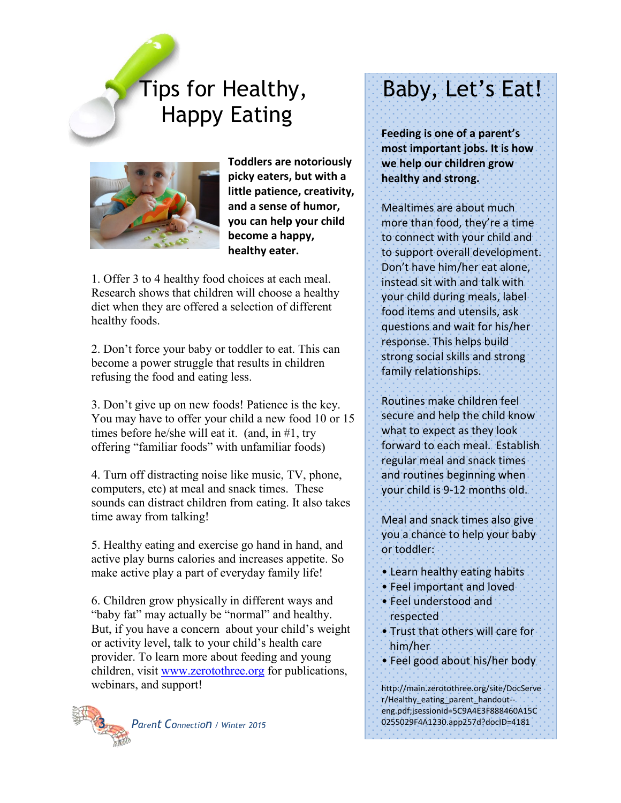# Tips for Healthy, Happy Eating



**Toddlers are notoriously picky eaters, but with a little patience, creativity, and a sense of humor, you can help your child become a happy, healthy eater.**

1. Offer 3 to 4 healthy food choices at each meal. Research shows that children will choose a healthy diet when they are offered a selection of different healthy foods.

2. Don't force your baby or toddler to eat. This can become a power struggle that results in children refusing the food and eating less.

3. Don't give up on new foods! Patience is the key. You may have to offer your child a new food 10 or 15 times before he/she will eat it. (and, in #1, try offering "familiar foods" with unfamiliar foods)

4. Turn off distracting noise like music, TV, phone, computers, etc) at meal and snack times. These sounds can distract children from eating. It also takes time away from talking!

5. Healthy eating and exercise go hand in hand, and active play burns calories and increases appetite. So make active play a part of everyday family life!

6. Children grow physically in different ways and "baby fat" may actually be "normal" and healthy. But, if you have a concern about your child's weight or activity level, talk to your child's health care provider. To learn more about feeding and young children, visit [www.zerotothree.org](http://www.zerotothree.org/) for publications, webinars, and support!



 Baby, Let's Eat!

**Feeding is one of a parent's most important jobs. It is how we help our children grow healthy and strong.**

Mealtimes are about much more than food, they're a time to connect with your child and to support overall development. Don't have him/her eat alone, instead sit with and talk with your child during meals, label food items and utensils, ask questions and wait for his/her response. This helps build strong social skills and strong family relationships.

Routines make children feel secure and help the child know what to expect as they look forward to each meal. Establish regular meal and snack times and routines beginning when your child is 9-12 months old.

Meal and snack times also give you a chance to help your baby or toddler:

- Learn healthy eating habits
- Feel important and loved
- Feel understood and respected
- Trust that others will care for him/her
- Feel good about his/her body

http://main.zerotothree.org/site/DocServe r/Healthy\_eating\_parent\_handout- eng.pdf;jsessionid=5C9A4E3F888460A15C 0255029F4A1230.app257d?docID=4181